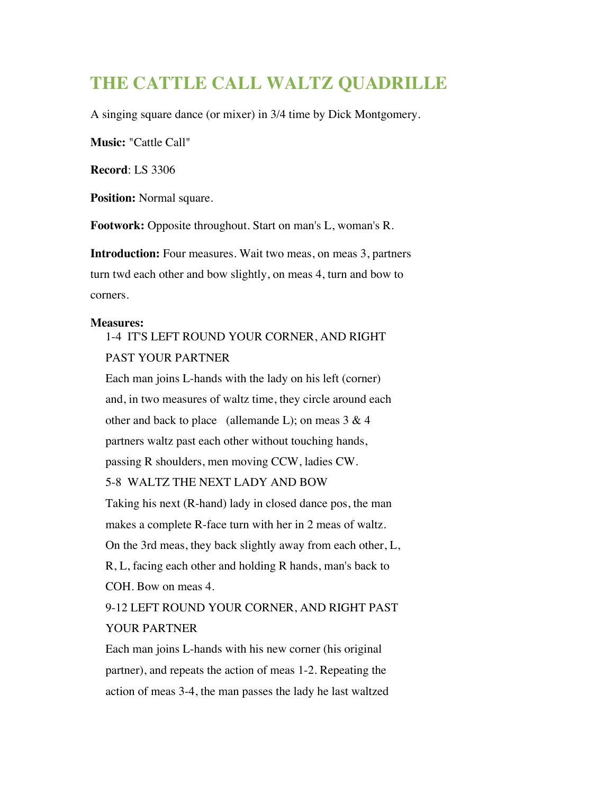## **THE CATTLE CALL WALTZ QUADRILLE**

A singing square dance (or mixer) in 3/4 time by Dick Montgomery.

**Music:** "Cattle Call"

**Record**: LS 3306

**Position:** Normal square.

**Footwork:** Opposite throughout. Start on man's L, woman's R.

**Introduction:** Four measures. Wait two meas, on meas 3, partners turn twd each other and bow slightly, on meas 4, turn and bow to corners.

## **Measures:**

1-4 IT'S LEFT ROUND YOUR CORNER, AND RIGHT PAST YOUR PARTNER

Each man joins L-hands with the lady on his left (corner) and, in two measures of waltz time, they circle around each other and back to place (allemande L); on meas  $3 & 4$ partners waltz past each other without touching hands, passing R shoulders, men moving CCW, ladies CW. 5-8 WALTZ THE NEXT LADY AND BOW

Taking his next (R-hand) lady in closed dance pos, the man makes a complete R-face turn with her in 2 meas of waltz. On the 3rd meas, they back slightly away from each other, L, R, L, facing each other and holding R hands, man's back to COH. Bow on meas 4.

9-12 LEFT ROUND YOUR CORNER, AND RIGHT PAST YOUR PARTNER

Each man joins L-hands with his new corner (his original partner), and repeats the action of meas 1-2. Repeating the action of meas 3-4, the man passes the lady he last waltzed